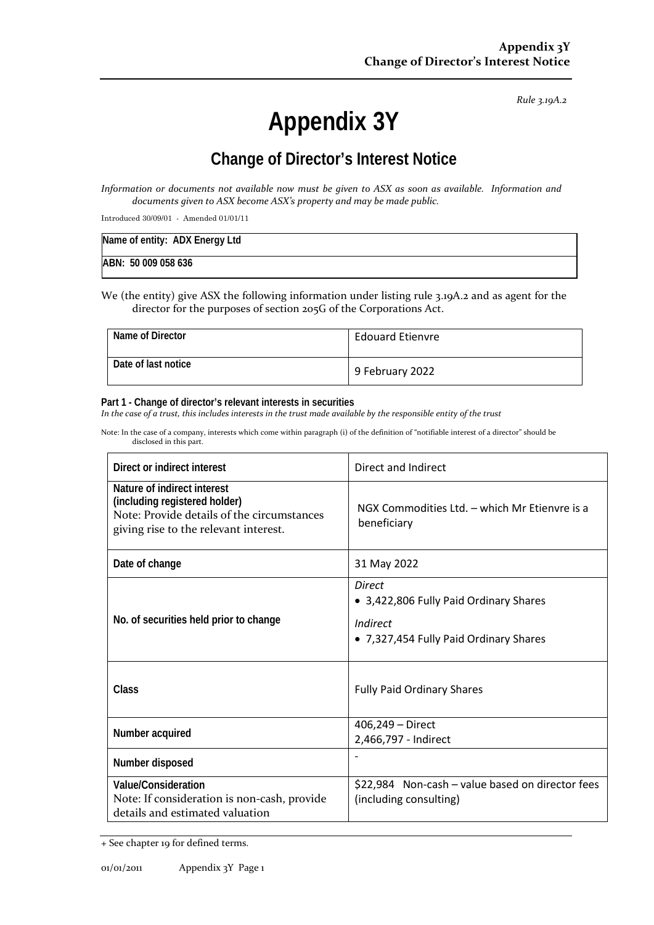*Rule 3.19A.2*

# **Appendix 3Y**

# **Change of Director's Interest Notice**

*Information or documents not available now must be given to ASX as soon as available. Information and documents given to ASX become ASX's property and may be made public.*

Introduced 30/09/01 - Amended 01/01/11

| Name of entity: ADX Energy Ltd |  |
|--------------------------------|--|
| ABN: 50 009 058 636            |  |

We (the entity) give ASX the following information under listing rule 3.19A.2 and as agent for the director for the purposes of section 205G of the Corporations Act.

| Name of Director    | <b>Edouard Etienvre</b> |
|---------------------|-------------------------|
| Date of last notice | 9 February 2022         |

#### **Part 1 - Change of director's relevant interests in securities**

*In the case of a trust, this includes interests in the trust made available by the responsible entity of the trust*

Note: In the case of a company, interests which come within paragraph (i) of the definition of "notifiable interest of a director" should be disclosed in this part.

| Direct or indirect interest                                                                                                                         | Direct and Indirect                                                                                    |
|-----------------------------------------------------------------------------------------------------------------------------------------------------|--------------------------------------------------------------------------------------------------------|
| Nature of indirect interest<br>(including registered holder)<br>Note: Provide details of the circumstances<br>giving rise to the relevant interest. | NGX Commodities Ltd. - which Mr Etienvre is a<br>beneficiary                                           |
| Date of change                                                                                                                                      | 31 May 2022                                                                                            |
| No. of securities held prior to change                                                                                                              | Direct<br>• 3,422,806 Fully Paid Ordinary Shares<br>Indirect<br>• 7,327,454 Fully Paid Ordinary Shares |
| Class                                                                                                                                               | <b>Fully Paid Ordinary Shares</b>                                                                      |
| Number acquired                                                                                                                                     | 406,249 - Direct<br>2,466,797 - Indirect                                                               |
| Number disposed                                                                                                                                     |                                                                                                        |
| Value/Consideration<br>Note: If consideration is non-cash, provide<br>details and estimated valuation                                               | \$22,984 Non-cash - value based on director fees<br>(including consulting)                             |

<sup>+</sup> See chapter 19 for defined terms.